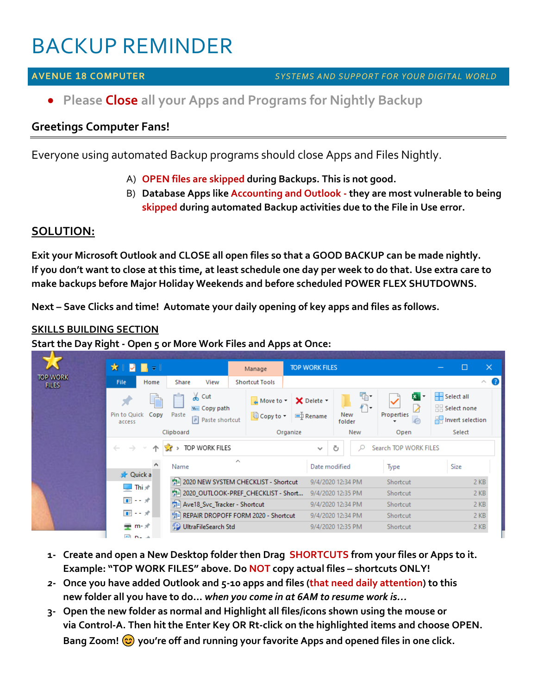# BACKUP REMINDER

### **AVENUE 18 COMPUTER** *SYSTEMS AND SUPPORT FOR YOUR DIGITAL WORLD*

• **Please Close all your Apps and Programs for Nightly Backup**

# **Greetings Computer Fans!**

Everyone using automated Backup programs should close Apps and Files Nightly.

- A) **OPEN files are skipped during Backups. This is not good.**
- B) **Database Apps like Accounting and Outlook - they are most vulnerable to being skipped during automated Backup activities due to the File in Use error.**

# **SOLUTION:**

**Exit your Microsoft Outlook and CLOSE all open files so that a GOOD BACKUP can be made nightly. If you don't want to close at this time, at least schedule one day per week to do that. Use extra care to make backups before Major Holiday Weekends and before scheduled POWER FLEX SHUTDOWNS.**

**Next – Save Clicks and time! Automate your daily opening of key apps and files as follows.**

## **SKILLS BUILDING SECTION**

**Start the Day Right - Open 5 or More Work Files and Apps at Once:**



- **1- Create and open a New Desktop folder then Drag SHORTCUTS from your files or Apps to it. Example: "TOP WORK FILES" above. Do NOT copy actual files – shortcuts ONLY!**
- *2-* **Once you have added Outlook and 5-10 apps and files (that need daily attention) to this new folder all you have to do…** *when you come in at 6AM to resume work is…*
- **3- Open the new folder as normal and Highlight all files/icons shown using the mouse or via Control-A. Then hit the Enter Key OR Rt-click on the highlighted items and choose OPEN. Bang Zoom! you're off and running your favorite Apps and opened files in one click.**